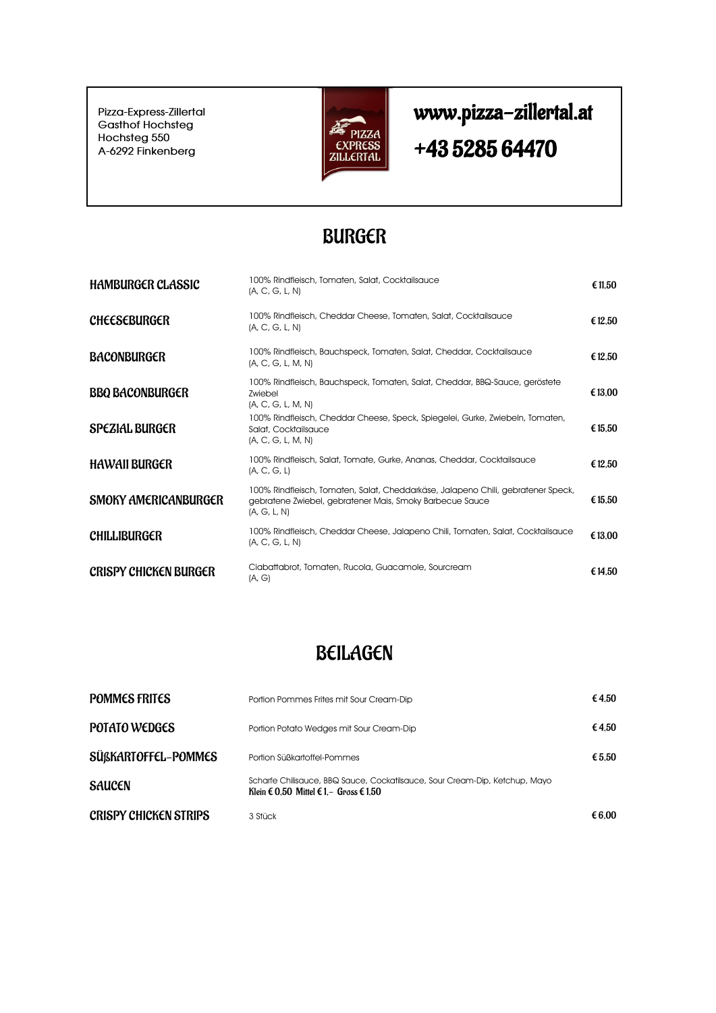**Pizza-Express-Zillertal Gasthof Hochsteg Hochsteg 550 A-6292 Finkenberg**



# www.pizza-zillertal.at +43 5285 64470

# BURGER

| <b>HAMBURGER CLASSIC</b>     | 100% Rindfleisch, Tomaten, Salat, Cocktailsauce<br>(A, C, G, L, N)                                                                                           |        |
|------------------------------|--------------------------------------------------------------------------------------------------------------------------------------------------------------|--------|
| CHEESEBURGER                 | 100% Rindfleisch, Cheddar Cheese, Tomaten, Salat, Cocktailsauce<br>(A, C, G, L, N)                                                                           | €12.50 |
| <b>BACONBURGER</b>           | 100% Rindfleisch, Bauchspeck, Tomaten, Salat, Cheddar, Cocktailsauce<br>(A, C, G, L, M, N)                                                                   | €12.50 |
| <b>BBQ BACONBURGER</b>       | 100% Rindfleisch, Bauchspeck, Tomaten, Salat, Cheddar, BBQ-Sauce, geröstete<br>Zwiebel<br>(A, C, G, L, M, N)                                                 | €13.00 |
| <b>SPEZIAL BURGER</b>        | 100% Rindfleisch, Cheddar Cheese, Speck, Spiegelei, Gurke, Zwiebeln, Tomaten,<br>Salat, Cocktailsauce<br>(A, C, G, L, M, N)                                  | €15,50 |
| <b>HAWAII BURGER</b>         | 100% Rindfleisch, Salat, Tomate, Gurke, Ananas, Cheddar, Cocktailsauce<br>(A, C, G, L)                                                                       | €12.50 |
| <b>SMOKY AMERICANBURGER</b>  | 100% Rindfleisch, Tomaten, Salat, Cheddarkäse, Jalapeno Chili, gebratener Speck,<br>gebratene Zwiebel, gebratener Mais, Smoky Barbecue Sauce<br>(A, G, L, N) | €15.50 |
| CHILLIBURGER                 | 100% Rindfleisch, Cheddar Cheese, Jalapeno Chili, Tomaten, Salat, Cocktailsauce<br>(A, C, G, L, N)                                                           | €13.00 |
| <b>CRISPY CHICKEN BURGER</b> | Ciabattabrot, Tomaten, Rucola, Guacamole, Sourcream<br>(A, G)                                                                                                | €14.50 |

# BEILAGEN

| CRISPY CHICKEN STRIPS | 3 Stück                                                                                                                | €6.00 |
|-----------------------|------------------------------------------------------------------------------------------------------------------------|-------|
| <b>SAUCEN</b>         | Scharfe Chilisauce, BBQ Sauce, Cockatilsauce, Sour Cream-Dip, Ketchup, Mayo<br>Klein € 0.50 Mittel € 1. – Gross € 1.50 |       |
| SÜßKARTOFFEL-POMMES   | Portion Süßkartoffel-Pommes                                                                                            | €5.50 |
| POTATO WEDGES         | Portion Potato Wedges mit Sour Cream-Dip                                                                               | €4.50 |
| POMMES FRITES         | Portion Pommes Frites mit Sour Cream-Dip                                                                               | €4.50 |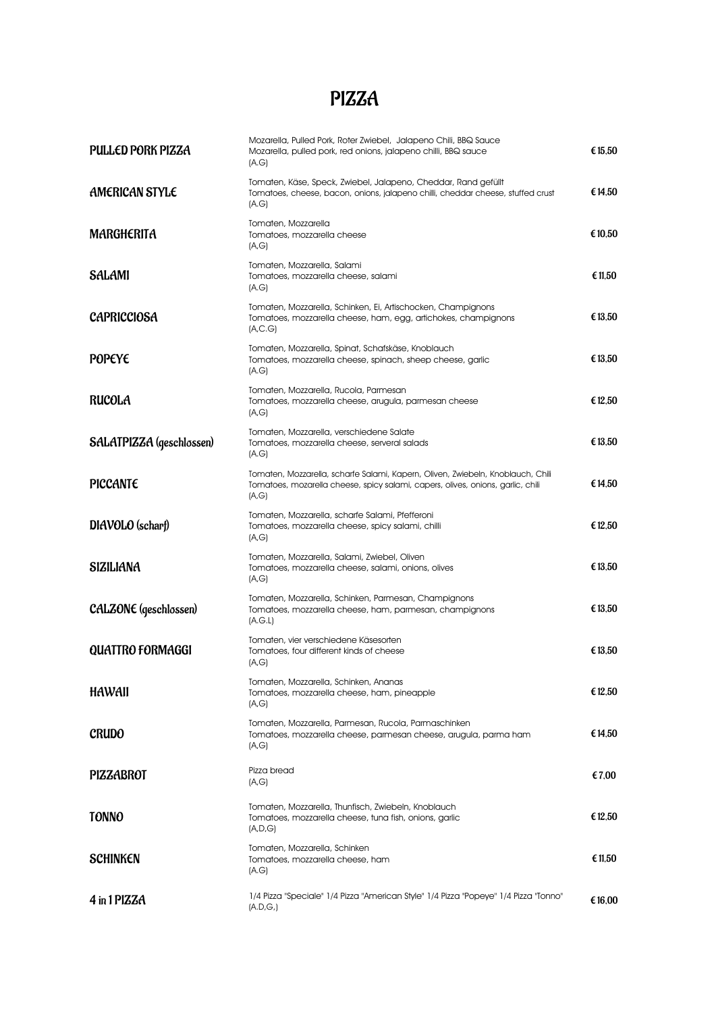# PIZZA

| <b>PULLED PORK PIZZA</b> | Mozarella, Pulled Pork, Roter Zwiebel, Jalapeno Chili, BBQ Sauce<br>Mozarella, pulled pork, red onions, jalapeno chilli, BBQ sauce<br>(A.G)                                  |         |  |
|--------------------------|------------------------------------------------------------------------------------------------------------------------------------------------------------------------------|---------|--|
| <b>AMERICAN STYLE</b>    | Tomaten, Käse, Speck, Zwiebel, Jalapeno, Cheddar, Rand gefüllt<br>Tomatoes, cheese, bacon, onions, jalapeno chilli, cheddar cheese, stuffed crust<br>(A.G)                   |         |  |
| <b>MARGHERITA</b>        | Tomaten, Mozzarella<br>Tomatoes, mozzarella cheese<br>(A, G)                                                                                                                 |         |  |
| SALAMI                   | Tomaten, Mozzarella, Salami<br>Tomatoes, mozzarella cheese, salami<br>(A.G)                                                                                                  | €11.50  |  |
| <b>CAPRICCIOSA</b>       | Tomaten, Mozzarella, Schinken, Ei, Artischocken, Champignons<br>Tomatoes, mozzarella cheese, ham, egg, artichokes, champignons<br>(A, C, G)                                  | €13.50  |  |
| POPEYE                   | Tomaten, Mozzarella, Spinat, Schafskäse, Knoblauch<br>Tomatoes, mozzarella cheese, spinach, sheep cheese, garlic<br>(A.G)                                                    | €13.50  |  |
| <b>RUCOLA</b>            | Tomaten, Mozzarella, Rucola, Parmesan<br>Tomatoes, mozzarella cheese, arugula, parmesan cheese<br>(A, G)                                                                     | €12.50  |  |
| SALATPIZZA (geschlossen) | Tomaten, Mozzarella, verschiedene Salate<br>Tomatoes, mozzarella cheese, serveral salads<br>(A.G)                                                                            | €13.50  |  |
| PICCANTE                 | Tomaten, Mozzarella, scharfe Salami, Kapern, Oliven, Zwiebeln, Knoblauch, Chili<br>Tomatoes, mozarella cheese, spicy salami, capers, olives, onions, garlic, chili<br>(A, G) |         |  |
| DIAVOLO (scharf)         | Tomaten, Mozzarella, scharfe Salami, Pfefferoni<br>Tomatoes, mozzarella cheese, spicy salami, chilli<br>(A, G)                                                               |         |  |
| <b>SIZILIANA</b>         | Tomaten, Mozzarella, Salami, Zwiebel, Oliven<br>Tomatoes, mozzarella cheese, salami, onions, olives<br>(A, G)                                                                | €13.50  |  |
| CALZONE (geschlossen)    | Tomaten, Mozzarella, Schinken, Parmesan, Champignons<br>Tomatoes, mozzarella cheese, ham, parmesan, champignons<br>(A.G.L)                                                   | €13.50  |  |
| <b>QUATTRO FORMAGGI</b>  | Tomaten, vier verschiedene Käsesorten<br>Tomatoes, four different kinds of cheese<br>(A, G)                                                                                  |         |  |
| <b>HAWAII</b>            | Tomaten, Mozzarella, Schinken, Ananas<br>Tomatoes, mozzarella cheese, ham, pineapple<br>(A, G)                                                                               |         |  |
| <b>CRUDO</b>             | Tomaten, Mozzarella, Parmesan, Rucola, Parmaschinken<br>Tomatoes, mozzarella cheese, parmesan cheese, arugula, parma ham<br>(A, G)                                           |         |  |
| PIZZABROT                | Pizza bread<br>(A, G)                                                                                                                                                        | €7.00   |  |
| <b>TONNO</b>             | Tomaten, Mozzarella, Thunfisch, Zwiebeln, Knoblauch<br>Tomatoes, mozzarella cheese, tuna fish, onions, garlic<br>(A, D, G)                                                   | €12.50  |  |
| <b>SCHINKEN</b>          | Tomaten, Mozzarella, Schinken<br>Tomatoes, mozzarella cheese, ham<br>(A.G)                                                                                                   |         |  |
| 4 in 1 PIZZA             | 1/4 Pizza "Speciale" 1/4 Pizza "American Style" 1/4 Pizza "Popeye" 1/4 Pizza "Tonno"<br>(A.D,G)                                                                              | € 16,00 |  |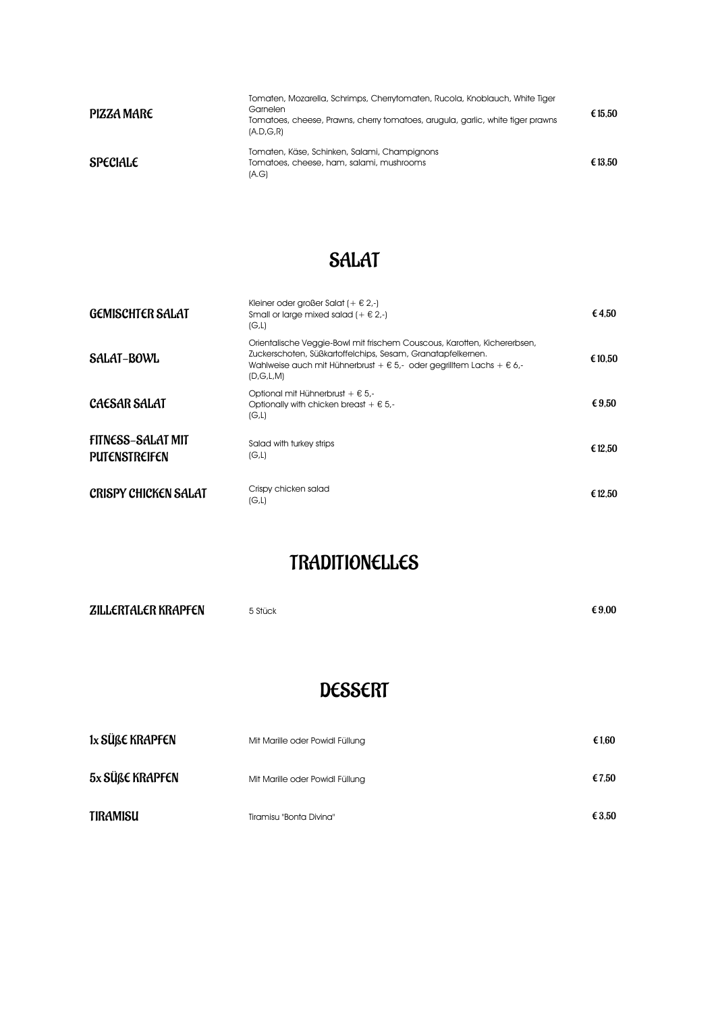| PIZZA MARE | Tomaten, Mozarella, Schrimps, Cherrytomaten, Rucola, Knoblauch, White Tiger<br>Garnelen<br>Tomatoes, cheese, Prawns, cherry tomatoes, arugula, garlic, white tiger prawns<br>(A.D.G.R) | €15.50 |
|------------|----------------------------------------------------------------------------------------------------------------------------------------------------------------------------------------|--------|
| SPECIALE   | Tomaten, Käse, Schinken, Salami, Champignons<br>Tomatoes, cheese, ham, salami, mushrooms<br>(A.G)                                                                                      | €13.50 |

#### SALAT

| <b>GEMISCHTER SALAT</b>                   | Kleiner oder großer Salat (+ $\in$ 2,-)<br>Small or large mixed salad $(+ \in 2, -)$<br>(G,L)                                                                                                                                                  | €4.50  |
|-------------------------------------------|------------------------------------------------------------------------------------------------------------------------------------------------------------------------------------------------------------------------------------------------|--------|
| SALAT-BOWL                                | Orientalische Veggie-Bowl mit frischem Couscous, Karotten, Kichererbsen,<br>Zuckerschoten, Süßkartoffelchips, Sesam, Granatapfelkernen.<br>Wahlweise auch mit Hühnerbrust + $\epsilon$ 5,- oder gegrilltem Lachs + $\epsilon$ 6,-<br>(D,G,L,M) | €10.50 |
| CAESAR SALAT                              | Optional mit Hühnerbrust + $\epsilon$ 5.-<br>Optionally with chicken breast $+ \epsilon$ 5,-<br>(G,L)                                                                                                                                          | €9.50  |
| FITNESS-SALAT MIT<br><b>PUTENSTREIFEN</b> | Salad with turkey strips<br>(G,L)                                                                                                                                                                                                              | €12.50 |
| CRISPY CHICKEN SALAT                      | Crispy chicken salad<br>(G,L)                                                                                                                                                                                                                  | €12.50 |

### TRADITIONELLES

| <b>ZILLERTALER KRAPFEN</b> | 5 Stück | €9.00 |
|----------------------------|---------|-------|
|                            |         |       |

# DESSERT

| 1x SÜßE KRAPFEN | Mit Marille oder Powidl Füllung | €1.60 |
|-----------------|---------------------------------|-------|
| 5x SÜßE KRAPFEN | Mit Marille oder Powidl Füllung | €7.50 |
| TIRAMISU        | Tiramisu "Bonta Divina"         | €3.50 |